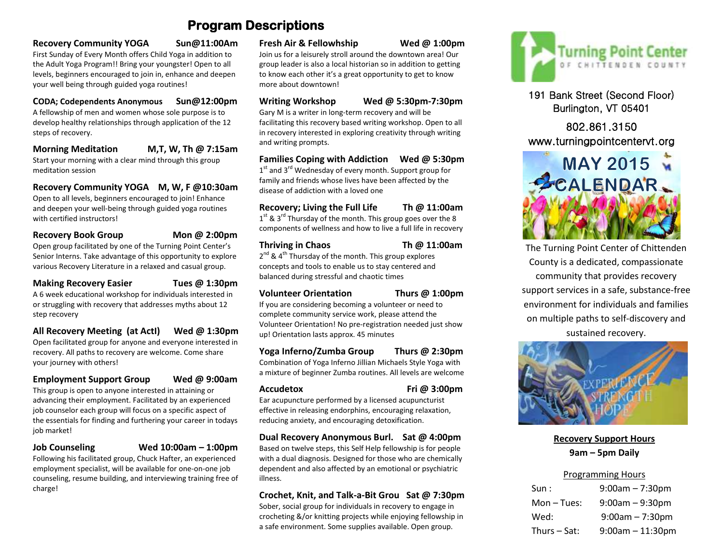# **Program Descriptions**

#### **Recovery Community YOGA Sun@11:00Am**

First Sunday of Every Month offers Child Yoga in addition to the Adult Yoga Program!! Bring your youngster! Open to all levels, beginners encouraged to join in, enhance and deepen your well being through guided yoga routines!

#### **CODA; Codependents Anonymous Sun@12:00pm**

A fellowship of men and women whose sole purpose is to develop healthy relationships through application of the 12 steps of recovery.

#### **Morning Meditation M,T, W, Th @ 7:15am**

Start your morning with a clear mind through this group meditation session

**Recovery Community YOGA M, W, F @10:30am** Open to all levels, beginners encouraged to join! Enhance

and deepen your well-being through guided yoga routines with certified instructors!

## **Recovery Book Group Mon @ 2:00pm**

Open group facilitated by one of the Turning Point Center's Senior Interns. Take advantage of this opportunity to explore various Recovery Literature in a relaxed and casual group.

**Making Recovery Easier Tues @ 1:30pm** A 6 week educational workshop for individuals interested in or struggling with recovery that addresses myths about 12 step recovery

**All Recovery Meeting (at ActI) Wed @ 1:30pm** Open facilitated group for anyone and everyone interested in recovery. All paths to recovery are welcome. Come share your journey with others!

**Employment Support Group Wed @ 9:00am**

This group is open to anyone interested in attaining or advancing their employment. Facilitated by an experienced job counselor each group will focus on a specific aspect of the essentials for finding and furthering your career in todays job market!

#### **Job Counseling Wed 10:00am – 1:00pm**

Following his facilitated group, Chuck Hafter, an experienced employment specialist, will be available for one-on-one job counseling, resume building, and interviewing training free of charge!

#### **Fresh Air & Fellowhship Wed @ 1:00pm**

Join us for a leisurely stroll around the downtown area! Our group leader is also a local historian so in addition to getting to know each other it's a great opportunity to get to know more about downtown!

### **Writing Workshop Wed @ 5:30pm-7:30pm**

Gary M is a writer in long-term recovery and will be facilitating this recovery based writing workshop. Open to all in recovery interested in exploring creativity through writing and writing prompts.

#### **Families Coping with Addiction Wed @ 5:30pm**

 $1<sup>st</sup>$  and 3<sup>rd</sup> Wednesday of every month. Support group for family and friends whose lives have been affected by the disease of addiction with a loved one

#### **Recovery; Living the Full Life Th @ 11:00am**

 $1<sup>st</sup>$  & 3<sup>rd</sup> Thursday of the month. This group goes over the 8 components of wellness and how to live a full life in recovery

#### **Thriving in Chaos Th @ 11:00am**

2<sup>nd</sup> & 4<sup>th</sup> Thursday of the month. This group explores concepts and tools to enable us to stay centered and balanced during stressful and chaotic times

#### **Volunteer Orientation Thurs @ 1:00pm**

If you are considering becoming a volunteer or need to complete community service work, please attend the Volunteer Orientation! No pre-registration needed just show up! Orientation lasts approx. 45 minutes

## **Yoga Inferno/Zumba Group Thurs @ 2:30pm**

Combination of Yoga Inferno Jillian Michaels Style Yoga with a mixture of beginner Zumba routines. All levels are welcome

**Accudetox Fri @ 3:00pm**

Ear acupuncture performed by a licensed acupuncturist effective in releasing endorphins, encouraging relaxation, reducing anxiety, and encouraging detoxification.

#### **Dual Recovery Anonymous Burl. Sat @ 4:00pm**

Based on twelve steps, this Self Help fellowship is for people with a dual diagnosis. Designed for those who are chemically dependent and also affected by an emotional or psychiatric illness.

### **Crochet, Knit, and Talk-a-Bit Grou Sat @ 7:30pm**

Sober, social group for individuals in recovery to engage in crocheting &/or knitting projects while enjoying fellowship in a safe environment. Some supplies available. Open group.



191 Bank Street (Second Floor) Burlington, VT 05401

## 802.861.3150 www.turningpointcentervt.org



The Turning Point Center of Chittenden County is a dedicated, compassionate community that provides recovery support services in a safe, substance-free environment for individuals and families on multiple paths to self-discovery and sustained recovery.



## **Recovery Support Hours 9am – 5pm Daily**

## Programming Hours

| Sun:           | $9:00am - 7:30pm$     |
|----------------|-----------------------|
| $Mon-Tues:$    | $9:00am - 9:30pm$     |
| Wed:           | $9:00$ am – 7:30pm    |
| Thurs $-$ Sat: | $9:00$ am $-11:30$ pm |